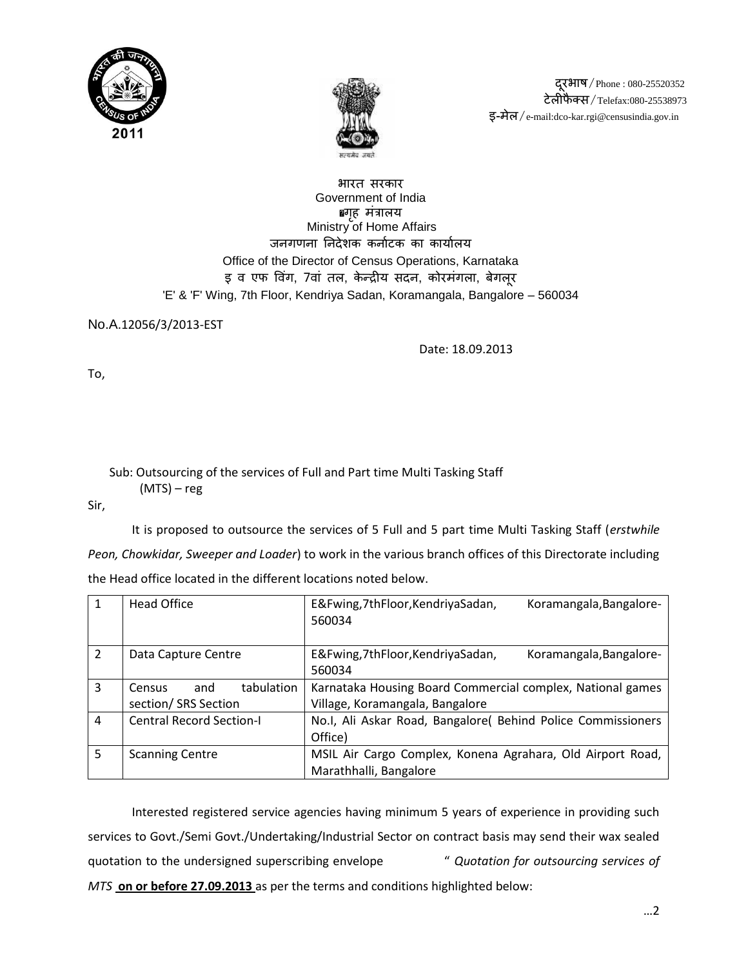



दरभाष / Phone : 080-25520352 टेलीफै क्स/Telefax:080-25538973 इ-मेल/e-mail:dco-kar.rgi@censusindia.gov.in

### भारत सरकार Government of India •गहृ मंत्रालय Ministry of Home Affairs जनगणना निदेशक कर्नाटक का कार्यालय Office of the Director of Census Operations, Karnataka इ व एफ विंग, 7वां तल, केन्द्रीय सदन, कोरमंगला, बेगलूर 'E' & 'F' Wing, 7th Floor, Kendriya Sadan, Koramangala, Bangalore – 560034

No.A.12056/3/2013-EST

Date: 18.09.2013

To,

### Sub: Outsourcing of the services of Full and Part time Multi Tasking Staff (MTS) – reg

Sir,

It is proposed to outsource the services of 5 Full and 5 part time Multi Tasking Staff (*erstwhile Peon, Chowkidar, Sweeper and Loader*) to work in the various branch offices of this Directorate including the Head office located in the different locations noted below.

| $\mathbf{1}$   | <b>Head Office</b>              | E&Fwing, 7thFloor, KendriyaSadan,<br>Koramangala, Bangalore-<br>560034 |
|----------------|---------------------------------|------------------------------------------------------------------------|
| 2              | Data Capture Centre             | E&Fwing, 7thFloor, KendriyaSadan,<br>Koramangala, Bangalore-<br>560034 |
| 3              | tabulation<br>and<br>Census     | Karnataka Housing Board Commercial complex, National games             |
|                | section/ SRS Section            | Village, Koramangala, Bangalore                                        |
| $\overline{4}$ | <b>Central Record Section-I</b> | No.I, Ali Askar Road, Bangalore( Behind Police Commissioners           |
|                |                                 | Office)                                                                |
| 5              | <b>Scanning Centre</b>          | MSIL Air Cargo Complex, Konena Agrahara, Old Airport Road,             |
|                |                                 | Marathhalli, Bangalore                                                 |

Interested registered service agencies having minimum 5 years of experience in providing such services to Govt./Semi Govt./Undertaking/Industrial Sector on contract basis may send their wax sealed quotation to the undersigned superscribing envelope " *Quotation for outsourcing services of MTS* **on or before 27.09.2013** as per the terms and conditions highlighted below: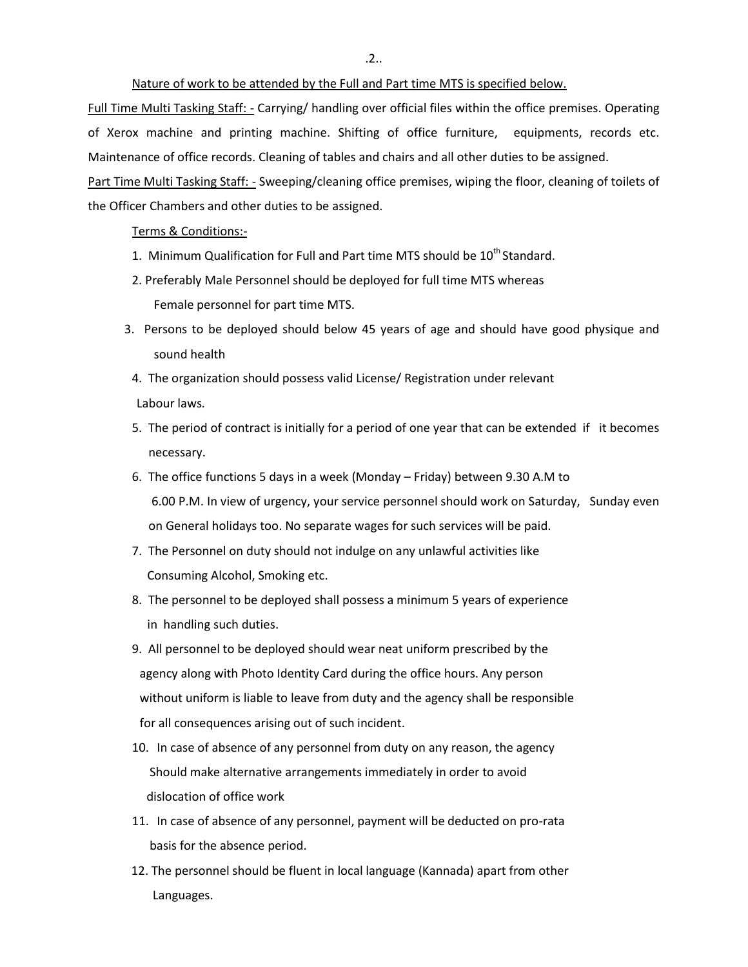.2..

Nature of work to be attended by the Full and Part time MTS is specified below.

Full Time Multi Tasking Staff: - Carrying/ handling over official files within the office premises. Operating of Xerox machine and printing machine. Shifting of office furniture, equipments, records etc. Maintenance of office records. Cleaning of tables and chairs and all other duties to be assigned. Part Time Multi Tasking Staff: - Sweeping/cleaning office premises, wiping the floor, cleaning of toilets of the Officer Chambers and other duties to be assigned.

#### Terms & Conditions:-

- 1. Minimum Qualification for Full and Part time MTS should be  $10^{th}$  Standard.
- 2. Preferably Male Personnel should be deployed for full time MTS whereas Female personnel for part time MTS.
- 3. Persons to be deployed should below 45 years of age and should have good physique and sound health
- 4. The organization should possess valid License/ Registration under relevant Labour laws*.*
- 5. The period of contract is initially for a period of one year that can be extended if it becomes necessary.
- 6. The office functions 5 days in a week (Monday Friday) between 9.30 A.M to 6.00 P.M. In view of urgency, your service personnel should work on Saturday, Sunday even on General holidays too. No separate wages for such services will be paid.
- 7. The Personnel on duty should not indulge on any unlawful activities like Consuming Alcohol, Smoking etc.
- 8. The personnel to be deployed shall possess a minimum 5 years of experience in handling such duties.
- 9. All personnel to be deployed should wear neat uniform prescribed by the agency along with Photo Identity Card during the office hours. Any person without uniform is liable to leave from duty and the agency shall be responsible for all consequences arising out of such incident.
- 10. In case of absence of any personnel from duty on any reason, the agency Should make alternative arrangements immediately in order to avoid dislocation of office work
- 11. In case of absence of any personnel, payment will be deducted on pro-rata basis for the absence period.
- 12. The personnel should be fluent in local language (Kannada) apart from other Languages.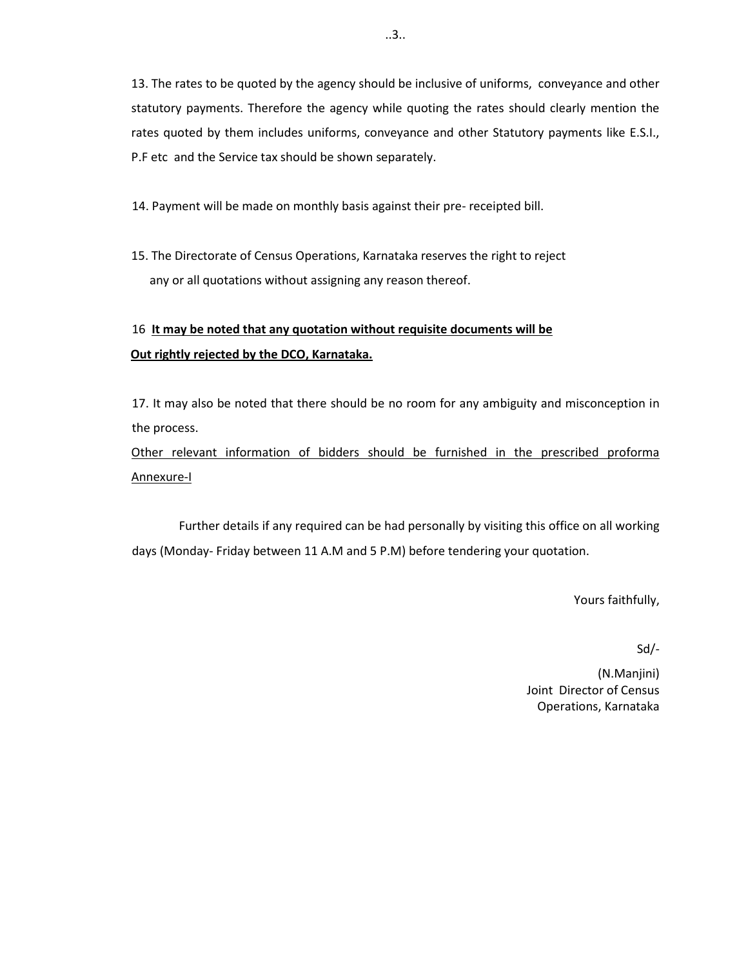13. The rates to be quoted by the agency should be inclusive of uniforms, conveyance and other statutory payments. Therefore the agency while quoting the rates should clearly mention the rates quoted by them includes uniforms, conveyance and other Statutory payments like E.S.I., P.F etc and the Service tax should be shown separately.

14. Payment will be made on monthly basis against their pre- receipted bill.

15. The Directorate of Census Operations, Karnataka reserves the right to reject any or all quotations without assigning any reason thereof.

# 16 **It may be noted that any quotation without requisite documents will be Out rightly rejected by the DCO, Karnataka.**

17. It may also be noted that there should be no room for any ambiguity and misconception in the process.

Other relevant information of bidders should be furnished in the prescribed proforma Annexure-I

Further details if any required can be had personally by visiting this office on all working days (Monday- Friday between 11 A.M and 5 P.M) before tendering your quotation.

Yours faithfully,

Sd/-

(N.Manjini) Joint Director of Census Operations, Karnataka